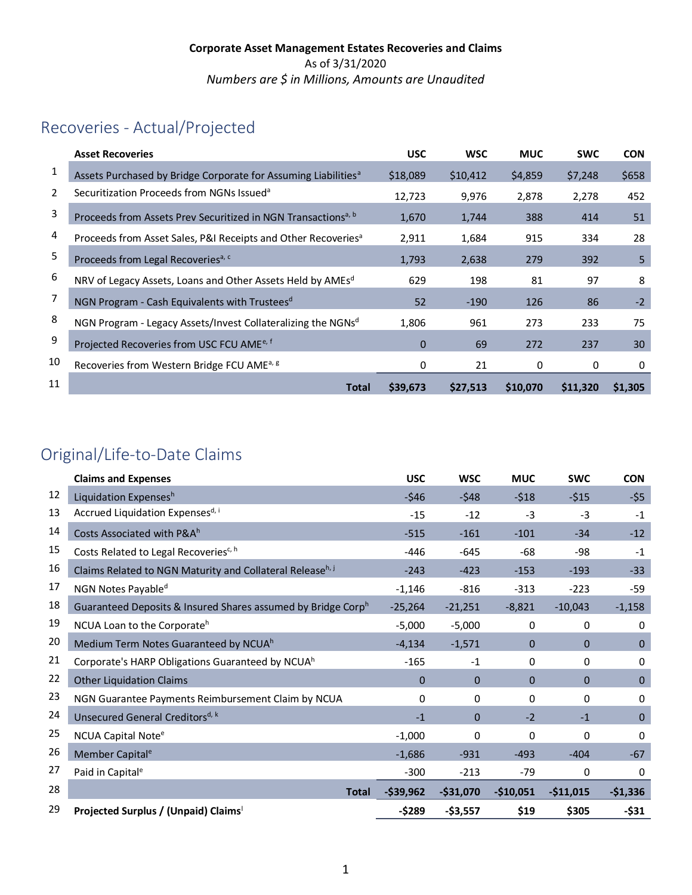# Recoveries - Actual/Projected

|    | <b>Asset Recoveries</b>                                                    | <b>USC</b>  | <b>WSC</b> | <b>MUC</b> | <b>SWC</b> | <b>CON</b> |
|----|----------------------------------------------------------------------------|-------------|------------|------------|------------|------------|
| 1  | Assets Purchased by Bridge Corporate for Assuming Liabilities <sup>a</sup> | \$18,089    | \$10,412   | \$4,859    | \$7,248    | \$658      |
| 2  | Securitization Proceeds from NGNs Issued <sup>a</sup>                      | 12,723      | 9,976      | 2,878      | 2,278      | 452        |
| 3  | Proceeds from Assets Prev Securitized in NGN Transactions <sup>a, b</sup>  | 1,670       | 1,744      | 388        | 414        | 51         |
| 4  | Proceeds from Asset Sales, P&I Receipts and Other Recoveries <sup>a</sup>  | 2,911       | 1,684      | 915        | 334        | 28         |
| 5  | Proceeds from Legal Recoveries <sup>a, c</sup>                             | 1,793       | 2,638      | 279        | 392        | 5          |
| 6  | NRV of Legacy Assets, Loans and Other Assets Held by AMEsd                 | 629         | 198        | 81         | 97         | 8          |
| 7  | NGN Program - Cash Equivalents with Trustees <sup>d</sup>                  | 52          | $-190$     | 126        | 86         | $-2$       |
| 8  | NGN Program - Legacy Assets/Invest Collateralizing the NGNsd               | 1,806       | 961        | 273        | 233        | 75         |
| 9  | Projected Recoveries from USC FCU AME <sup>e, f</sup>                      | $\mathbf 0$ | 69         | 272        | 237        | 30         |
| 10 | Recoveries from Western Bridge FCU AME <sup>a, g</sup>                     | 0           | 21         | 0          | 0          | 0          |
| 11 | <b>Total</b>                                                               | \$39,673    | \$27,513   | \$10,070   | \$11,320   | \$1.305    |

## Original/Life-to-Date Claims

|    | <b>Claims and Expenses</b>                                            | <b>USC</b>   | <b>WSC</b>   | <b>MUC</b>   | <b>SWC</b>     | <b>CON</b>   |
|----|-----------------------------------------------------------------------|--------------|--------------|--------------|----------------|--------------|
| 12 | Liquidation Expensesh                                                 | $-546$       | $-548$       | $-518$       | $-515$         | -\$5         |
| 13 | Accrued Liquidation Expensesd, i                                      | $-15$        | $-12$        | $-3$         | $-3$           | $-1$         |
| 14 | Costs Associated with P&Ah                                            | $-515$       | $-161$       | $-101$       | $-34$          | $-12$        |
| 15 | Costs Related to Legal Recoveries <sup>c, h</sup>                     | $-446$       | $-645$       | -68          | -98            | $-1$         |
| 16 | Claims Related to NGN Maturity and Collateral Release <sup>h, j</sup> | $-243$       | $-423$       | $-153$       | $-193$         | $-33$        |
| 17 | NGN Notes Payable <sup>d</sup>                                        | $-1,146$     | $-816$       | $-313$       | $-223$         | $-59$        |
| 18 | Guaranteed Deposits & Insured Shares assumed by Bridge Corph          | $-25,264$    | $-21,251$    | $-8,821$     | $-10,043$      | $-1,158$     |
| 19 | NCUA Loan to the Corporate <sup>h</sup>                               | $-5,000$     | $-5,000$     | $\mathbf 0$  | 0              | 0            |
| 20 | Medium Term Notes Guaranteed by NCUAh                                 | $-4,134$     | $-1,571$     | $\mathbf{0}$ | $\mathbf{0}$   | $\mathbf{0}$ |
| 21 | Corporate's HARP Obligations Guaranteed by NCUA <sup>h</sup>          | $-165$       | $-1$         | 0            | 0              | $\Omega$     |
| 22 | <b>Other Liquidation Claims</b>                                       | $\Omega$     | $\mathbf{0}$ | $\Omega$     | $\overline{0}$ | $\mathbf 0$  |
| 23 | NGN Guarantee Payments Reimbursement Claim by NCUA                    | 0            | 0            | $\mathbf{0}$ | 0              | $\Omega$     |
| 24 | Unsecured General Creditors <sup>d, k</sup>                           | $-1$         | $\Omega$     | $-2$         | $-1$           | $\mathbf{0}$ |
| 25 | NCUA Capital Note <sup>e</sup>                                        | $-1,000$     | 0            | 0            | 0              | 0            |
| 26 | Member Capital <sup>e</sup>                                           | $-1,686$     | $-931$       | $-493$       | $-404$         | $-67$        |
| 27 | Paid in Capital <sup>e</sup>                                          | $-300$       | $-213$       | $-79$        | 0              | 0            |
| 28 | <b>Total</b>                                                          | $-$ \$39,962 | $-$ \$31,070 | $-$10,051$   | $-$11,015$     | $-$1,336$    |
| 29 | Projected Surplus / (Unpaid) Claims                                   | $-5289$      | $-$3,557$    | \$19         | \$305          | $-$31$       |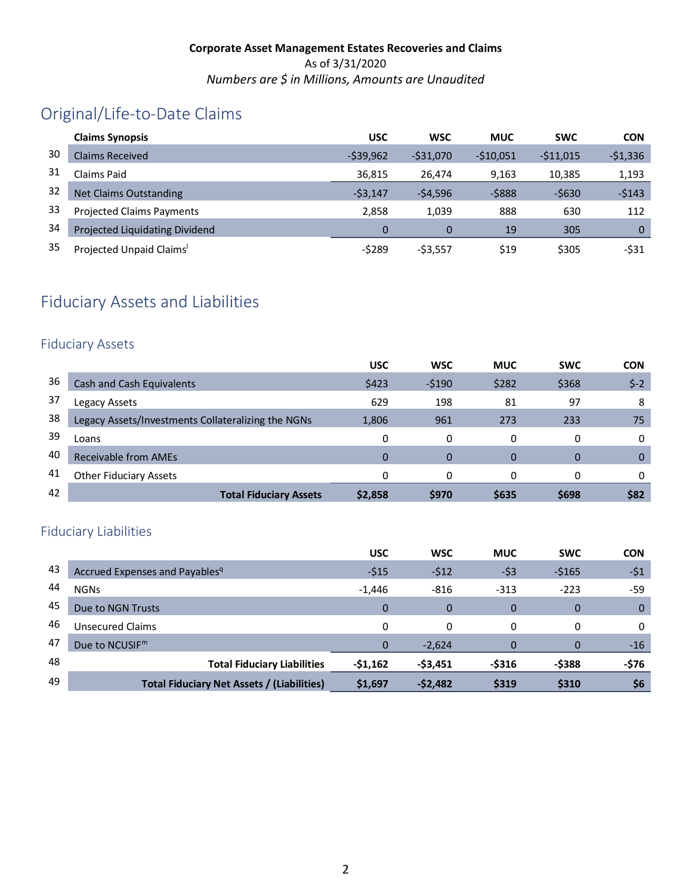# Original/Life-to-Date Claims

|    | <b>Claims Synopsis</b>                | <b>USC</b> | <b>WSC</b>  | <b>MUC</b> | <b>SWC</b> | <b>CON</b> |
|----|---------------------------------------|------------|-------------|------------|------------|------------|
| 30 | <b>Claims Received</b>                | $-539.962$ | $-531.070$  | $-510.051$ | $-511,015$ | $-$1,336$  |
| 31 | Claims Paid                           | 36,815     | 26.474      | 9.163      | 10,385     | 1,193      |
| 32 | <b>Net Claims Outstanding</b>         | $-53,147$  | $-54,596$   | $-5888$    | $-5630$    | $-5143$    |
| 33 | <b>Projected Claims Payments</b>      | 2.858      | 1.039       | 888        | 630        | 112        |
| 34 | <b>Projected Liquidating Dividend</b> | 0          |             | 19         | 305        | 0          |
| 35 | Projected Unpaid Claims'              | -\$289     | $-$ \$3,557 | \$19       | \$305      | $-$ \$31   |

## Fiduciary Assets and Liabilities

#### Fiduciary Assets

|    |                                                    | <b>USC</b> | <b>WSC</b> | <b>MUC</b> | <b>SWC</b> | <b>CON</b> |
|----|----------------------------------------------------|------------|------------|------------|------------|------------|
| 36 | Cash and Cash Equivalents                          | \$423      | $-5190$    | \$282      | \$368      | $$-2$      |
| 37 | Legacy Assets                                      | 629        | 198        | 81         | 97         | 8          |
| 38 | Legacy Assets/Investments Collateralizing the NGNs | 1,806      | 961        | 273        | 233        | 75         |
| 39 | Loans                                              |            | 0          | 0          | 0          | 0          |
| 40 | Receivable from AMEs                               | 0          | $\Omega$   | $\Omega$   | 0          | 0          |
| 41 | <b>Other Fiduciary Assets</b>                      | O          | $\Omega$   | 0          | 0          | 0          |
| 42 | <b>Total Fiduciary Assets</b>                      | \$2,858    | \$970      | \$635      | \$698      | \$82       |

### Fiduciary Liabilities

|    |                                                   | <b>USC</b> | <b>WSC</b> | <b>MUC</b> | <b>SWC</b> | <b>CON</b> |
|----|---------------------------------------------------|------------|------------|------------|------------|------------|
| 43 | Accrued Expenses and Payables <sup>q</sup>        | $-515$     | $-512$     | $-53$      | $-5165$    | $-51$      |
| 44 | <b>NGNs</b>                                       | $-1,446$   | $-816$     | $-313$     | $-223$     | -59        |
| 45 | Due to NGN Trusts                                 | $\Omega$   |            | 0          | 0          | $\Omega$   |
| 46 | Unsecured Claims                                  | 0          | 0          | 0          | 0          | 0          |
| 47 | Due to NCUSIF <sup>m</sup>                        | $\Omega$   | $-2,624$   | $\Omega$   | $\Omega$   | $-16$      |
| 48 | <b>Total Fiduciary Liabilities</b>                | $-51,162$  | $-53,451$  | $-$ \$316  | -\$388     | -\$76      |
| 49 | <b>Total Fiduciary Net Assets / (Liabilities)</b> | \$1,697    | $-52,482$  | \$319      | \$310      | \$6        |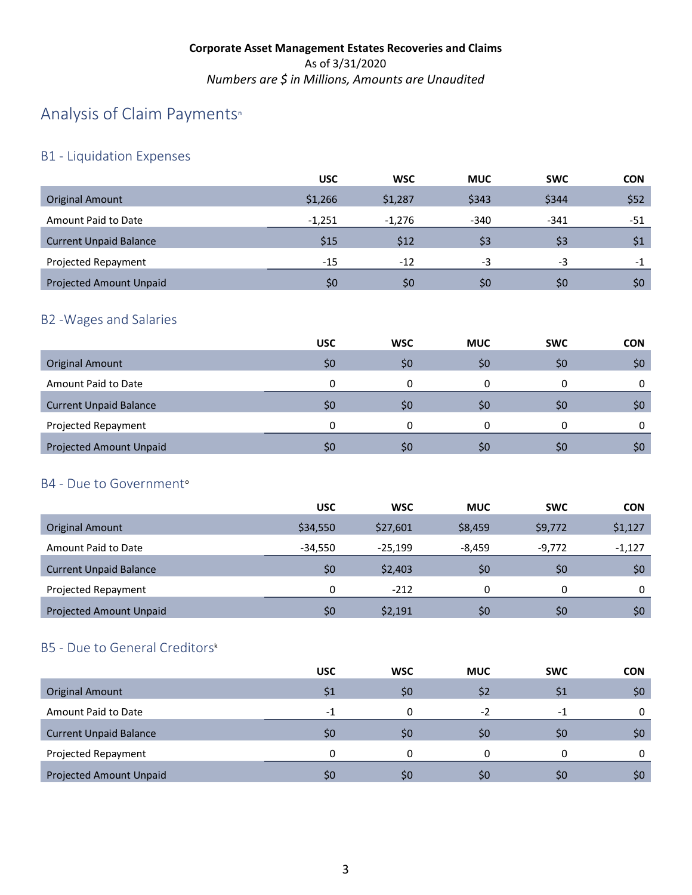## A[n](#page-4-21)alysis of Claim Payments<sup>®</sup>

### B1 - Liquidation Expenses

|                                | <b>USC</b> | <b>WSC</b> | <b>MUC</b> | <b>SWC</b> | <b>CON</b> |
|--------------------------------|------------|------------|------------|------------|------------|
| <b>Original Amount</b>         | \$1,266    | \$1,287    | \$343      | \$344      | \$52       |
| Amount Paid to Date            | $-1.251$   | $-1.276$   | $-340$     | $-341$     | -51        |
| <b>Current Unpaid Balance</b>  | \$15       | \$12       | \$3        | \$3        | \$1        |
| Projected Repayment            | $-15$      | $-12$      | -3         | $-3$       | -1         |
| <b>Projected Amount Unpaid</b> | \$0        | \$0        | \$0        | \$0        | \$0        |

### B2 -Wages and Salaries

|                               | <b>USC</b>   | <b>WSC</b> | <b>MUC</b> | <b>SWC</b> | <b>CON</b> |
|-------------------------------|--------------|------------|------------|------------|------------|
| <b>Original Amount</b>        | \$0          | \$C        | \$0        | \$0        | \$0        |
| Amount Paid to Date           | 0            |            |            | 0          | 0          |
| <b>Current Unpaid Balance</b> | \$0          | S0         | Ş0         | S0         | \$0        |
| Projected Repayment           | <sup>0</sup> |            |            | 0          | 0          |
| Projected Amount Unpaid       | \$0          | \$C        | \$0        | S0         | \$0        |

#### B4 - Due t[o](#page-4-22) Government<sup>o</sup>

|                                | <b>USC</b> | <b>WSC</b> | <b>MUC</b> | <b>SWC</b> | <b>CON</b> |
|--------------------------------|------------|------------|------------|------------|------------|
| Original Amount                | \$34,550   | \$27,601   | \$8,459    | \$9,772    | \$1,127    |
| Amount Paid to Date            | $-34.550$  | $-25.199$  | $-8.459$   | $-9,772$   | $-1,127$   |
| <b>Current Unpaid Balance</b>  | \$0        | \$2,403    | \$0        | \$0        | \$0        |
| Projected Repayment            | 0          | $-212$     | 0          | 0          | 0          |
| <b>Projected Amount Unpaid</b> | \$0        | \$2,191    | \$0        | \$0        | \$0        |

## B5 - Due to General Creditor[s](#page-4-20)k

|                                | <b>USC</b>               | <b>WSC</b> | <b>MUC</b>   | <b>SWC</b> | <b>CON</b> |
|--------------------------------|--------------------------|------------|--------------|------------|------------|
| <b>Original Amount</b>         |                          | \$0        | \$2          |            | \$0        |
| Amount Paid to Date            | $\overline{\phantom{0}}$ |            | $-2$         | $-1$       | 0          |
| <b>Current Unpaid Balance</b>  | \$0                      | \$0        | \$0          | \$0        | \$0        |
| Projected Repayment            |                          |            |              | 0          | 0          |
| <b>Projected Amount Unpaid</b> | \$0                      | \$C        | $50^{\circ}$ | <b>SO</b>  | \$0        |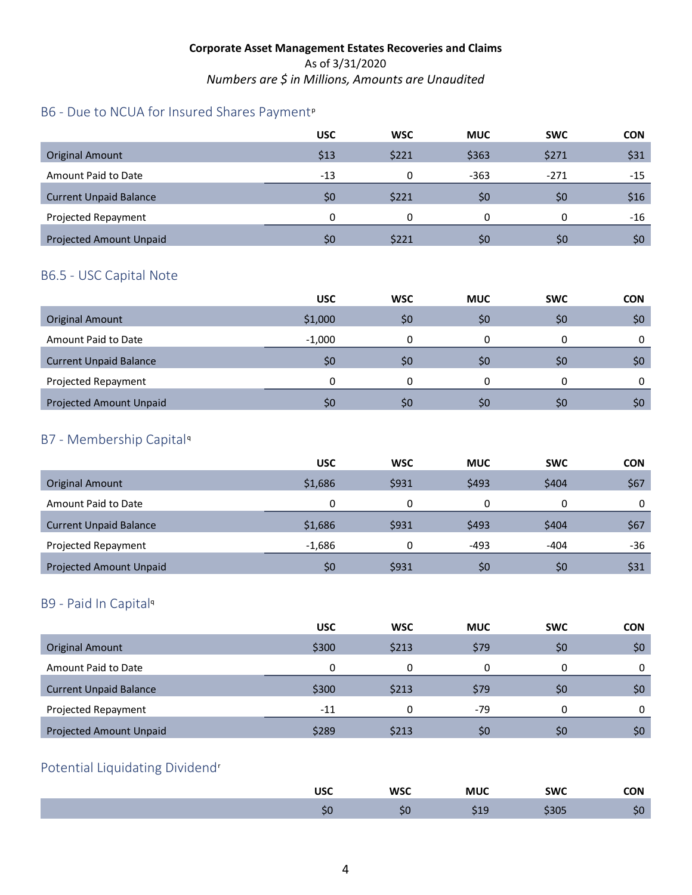### B6 - Due to NCUA for Insured Shares Payment<su[p](#page-4-23)>p</sup>

|                                | <b>USC</b> | <b>WSC</b> | <b>MUC</b> | <b>SWC</b> | <b>CON</b> |
|--------------------------------|------------|------------|------------|------------|------------|
| <b>Original Amount</b>         | \$13       | \$221      | \$363      | \$271      | \$31       |
| Amount Paid to Date            | $-13$      | n          | $-363$     | $-271$     | -15        |
| <b>Current Unpaid Balance</b>  | \$0        | \$221      | \$0        | \$0        | \$16       |
| Projected Repayment            | $\Omega$   | 0          | 0          | 0          | -16        |
| <b>Projected Amount Unpaid</b> | SO.        | \$221      | \$0        | \$0        | \$0        |

#### B6.5 - USC Capital Note

|                                | <b>USC</b>     | <b>WSC</b> | <b>MUC</b> | <b>SWC</b> | <b>CON</b> |
|--------------------------------|----------------|------------|------------|------------|------------|
| <b>Original Amount</b>         | \$1,000        | \$0        | \$0        | \$0        | \$0        |
| Amount Paid to Date            | $-1,000$       |            |            |            |            |
| <b>Current Unpaid Balance</b>  | \$0            | \$0        | \$0        | \$0        | \$0        |
| Projected Repayment            | 0              |            | 0          |            |            |
| <b>Projected Amount Unpaid</b> | S <sub>0</sub> | \$0        | \$0        | \$0        | \$0        |

#### B7 - Membership Capital[q](#page-4-24)

|                                | <b>USC</b> | <b>WSC</b> | <b>MUC</b> | <b>SWC</b> | <b>CON</b> |
|--------------------------------|------------|------------|------------|------------|------------|
| <b>Original Amount</b>         | \$1,686    | \$931      | \$493      | \$404      | \$67       |
| Amount Paid to Date            | 0          | 0          | 0          | 0          | 0          |
| <b>Current Unpaid Balance</b>  | \$1,686    | \$931      | \$493      | \$404      | \$67       |
| Projected Repayment            | $-1,686$   | 0          | $-493$     | $-404$     | -36        |
| <b>Projected Amount Unpaid</b> | \$0        | \$931      | \$0        | \$0        | \$31       |

#### B9 - Paid In Capita[l](#page-4-18)<sup>q</sup>

|                                | <b>USC</b> | <b>WSC</b> | <b>MUC</b> | <b>SWC</b>     | <b>CON</b> |
|--------------------------------|------------|------------|------------|----------------|------------|
| <b>Original Amount</b>         | \$300      | \$213      | \$79       | \$0            | \$0        |
| Amount Paid to Date            | 0          |            |            | 0              | 0          |
| <b>Current Unpaid Balance</b>  | \$300      | \$213      | \$79       | \$0            | \$0        |
| Projected Repayment            | $-11$      |            | $-79$      | 0              | 0          |
| <b>Projected Amount Unpaid</b> | \$289      | \$213      | \$0        | S <sub>0</sub> | \$0        |

## Potential Liquidating Dividend[r](#page-4-25)

| ПСС<br>טכנ | <b>WSC</b> | <b>MUC</b> | <b>SWC</b> | <b>CON</b> |
|------------|------------|------------|------------|------------|
| υc         | . .<br>ຸວບ |            | วบว        |            |